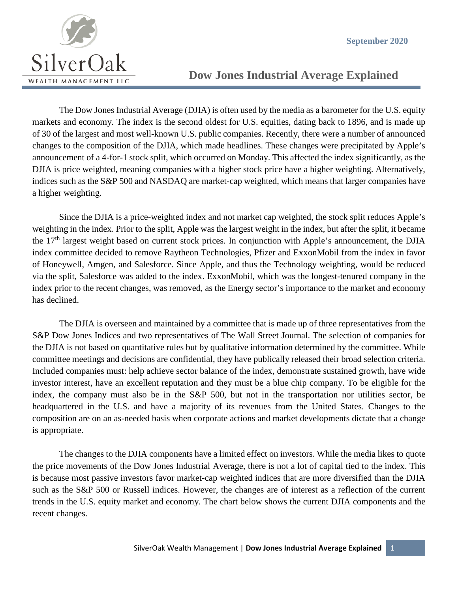

## **Dow Jones Industrial Average Explained**

The Dow Jones Industrial Average (DJIA) is often used by the media as a barometer for the U.S. equity markets and economy. The index is the second oldest for U.S. equities, dating back to 1896, and is made up of 30 of the largest and most well-known U.S. public companies. Recently, there were a number of announced changes to the composition of the DJIA, which made headlines. These changes were precipitated by Apple's announcement of a 4-for-1 stock split, which occurred on Monday. This affected the index significantly, as the DJIA is price weighted, meaning companies with a higher stock price have a higher weighting. Alternatively, indices such as the S&P 500 and NASDAQ are market-cap weighted, which means that larger companies have a higher weighting.

Since the DJIA is a price-weighted index and not market cap weighted, the stock split reduces Apple's weighting in the index. Prior to the split, Apple was the largest weight in the index, but after the split, it became the 17<sup>th</sup> largest weight based on current stock prices. In conjunction with Apple's announcement, the DJIA index committee decided to remove Raytheon Technologies, Pfizer and ExxonMobil from the index in favor of Honeywell, Amgen, and Salesforce. Since Apple, and thus the Technology weighting, would be reduced via the split, Salesforce was added to the index. ExxonMobil, which was the longest-tenured company in the index prior to the recent changes, was removed, as the Energy sector's importance to the market and economy has declined.

The DJIA is overseen and maintained by a committee that is made up of three representatives from the S&P Dow Jones Indices and two representatives of The Wall Street Journal. The selection of companies for the DJIA is not based on quantitative rules but by qualitative information determined by the committee. While committee meetings and decisions are confidential, they have publically released their broad selection criteria. Included companies must: help achieve sector balance of the index, demonstrate sustained growth, have wide investor interest, have an excellent reputation and they must be a blue chip company. To be eligible for the index, the company must also be in the S&P 500, but not in the transportation nor utilities sector, be headquartered in the U.S. and have a majority of its revenues from the United States. Changes to the composition are on an as-needed basis when corporate actions and market developments dictate that a change is appropriate.

The changes to the DJIA components have a limited effect on investors. While the media likes to quote the price movements of the Dow Jones Industrial Average, there is not a lot of capital tied to the index. This is because most passive investors favor market-cap weighted indices that are more diversified than the DJIA such as the S&P 500 or Russell indices. However, the changes are of interest as a reflection of the current trends in the U.S. equity market and economy. The chart below shows the current DJIA components and the recent changes.